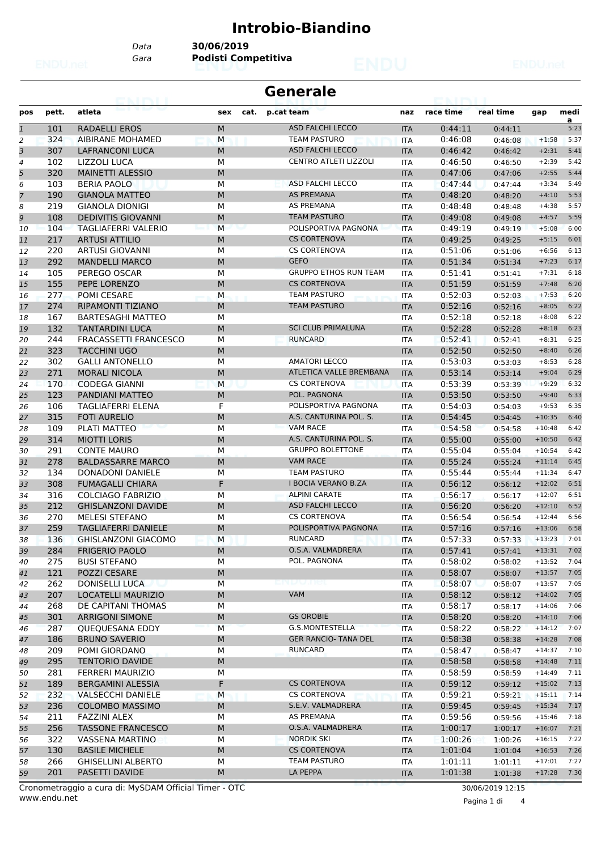## **Introbio-Biandino**

*Data* **30/06/2019**

*Gara* **Podisti Competitiva**

|                | <b>Generale</b><br><b>PEACH PROPER</b> |                              |           |      |                              |            |           |           |          |           |
|----------------|----------------------------------------|------------------------------|-----------|------|------------------------------|------------|-----------|-----------|----------|-----------|
| pos            | pett.                                  | atleta                       | sex       | cat. | p.cat team                   | naz        | race time | real time | gap      | medi<br>a |
| $\mathbf{1}$   | 101                                    | <b>RADAELLI EROS</b>         | M         |      | <b>ASD FALCHI LECCO</b>      | <b>ITA</b> | 0:44:11   | 0:44:11   |          | 5:23      |
| 2              | 324                                    | <b>AIBIRANE MOHAMED</b>      | M         |      | <b>TEAM PASTURO</b>          | <b>ITA</b> | 0:46:08   | 0:46:08   | $+1:58$  | 5:37      |
| 3              | 307                                    | <b>LAFRANCONI LUCA</b>       | M         |      | <b>ASD FALCHI LECCO</b>      | <b>ITA</b> | 0:46:42   | 0:46:42   | $+2:31$  | 5:41      |
| 4              | 102                                    | LIZZOLI LUCA                 | M         |      | <b>CENTRO ATLETI LIZZOLI</b> | <b>ITA</b> | 0:46:50   | 0:46:50   | $+2:39$  | 5:42      |
| 5              | 320                                    | <b>MAINETTI ALESSIO</b>      | M         |      |                              | <b>ITA</b> | 0:47:06   | 0:47:06   | $+2:55$  | 5:44      |
| 6              | 103                                    | <b>BERIA PAOLO</b>           | М         |      | ASD FALCHI LECCO             | <b>ITA</b> | 0:47:44   | 0:47:44   | $+3:34$  | 5:49      |
| $\overline{7}$ | 190                                    | <b>GIANOLA MATTEO</b>        | M         |      | <b>AS PREMANA</b>            | <b>ITA</b> | 0:48:20   | 0:48:20   | $+4:10$  | 5:53      |
| 8              | 219                                    | <b>GIANOLA DIONIGI</b>       | M         |      | <b>AS PREMANA</b>            | <b>ITA</b> | 0:48:48   | 0:48:48   | $+4:38$  | 5:57      |
| 9              | 108                                    | <b>DEDIVITIS GIOVANNI</b>    | M         |      | <b>TEAM PASTURO</b>          | <b>ITA</b> | 0:49:08   | 0:49:08   | $+4:57$  | 5:59      |
| 10             | 104                                    | TAGLIAFERRI VALERIO          | M         |      | POLISPORTIVA PAGNONA         | <b>ITA</b> | 0:49:19   | 0:49:19   | $+5:08$  | 6:00      |
| 11             | 217                                    | <b>ARTUSI ATTILIO</b>        | M         |      | <b>CS CORTENOVA</b>          | <b>ITA</b> | 0:49:25   | 0:49:25   | $+5:15$  | 6:01      |
| 12             | 220                                    | ARTUSI GIOVANNI              | М         |      | <b>CS CORTENOVA</b>          | <b>ITA</b> | 0:51:06   | 0:51:06   | $+6:56$  | 6:13      |
| 13             | 292                                    | <b>MANDELLI MARCO</b>        | M         |      | <b>GEFO</b>                  | <b>ITA</b> | 0:51:34   | 0:51:34   | $+7:23$  | 6:17      |
| 14             | 105                                    | PEREGO OSCAR                 | M         |      | <b>GRUPPO ETHOS RUN TEAM</b> | ITA        | 0:51:41   | 0:51:41   | $+7:31$  | 6:18      |
| 15             | 155                                    | PEPE LORENZO                 | M         |      | <b>CS CORTENOVA</b>          | <b>ITA</b> | 0:51:59   | 0:51:59   | $+7:48$  | 6:20      |
| 16             | 277                                    | <b>POMI CESARE</b>           | M         |      | <b>TEAM PASTURO</b>          | <b>ITA</b> | 0:52:03   | 0:52:03   | $+7:53$  | 6:20      |
| 17             | 274                                    | RIPAMONTI TIZIANO            | M         |      | <b>TEAM PASTURO</b>          | <b>ITA</b> | 0:52:16   | 0:52:16   | $+8:05$  | 6:22      |
| 18             | 167                                    | <b>BARTESAGHI MATTEO</b>     | М         |      |                              | ITA        | 0:52:18   | 0:52:18   | $+8:08$  | 6:22      |
| 19             | 132                                    | <b>TANTARDINI LUCA</b>       | M         |      | <b>SCI CLUB PRIMALUNA</b>    | <b>ITA</b> | 0:52:28   | 0:52:28   | $+8:18$  | 6:23      |
| 20             | 244                                    | <b>FRACASSETTI FRANCESCO</b> | М         |      | <b>RUNCARD</b>               | ITA        | 0:52:41   | 0:52:41   | $+8:31$  | 6:25      |
| 21             | 323                                    | <b>TACCHINI UGO</b>          | M         |      |                              | <b>ITA</b> | 0:52:50   | 0:52:50   | $+8:40$  | 6:26      |
| 22             | 302                                    | <b>GALLI ANTONELLO</b>       | М         |      | <b>AMATORI LECCO</b>         | <b>ITA</b> | 0:53:03   | 0:53:03   | $+8:53$  | 6:28      |
| 23             | 271                                    | <b>MORALI NICOLA</b>         | M         |      | ATLETICA VALLE BREMBANA      | <b>ITA</b> | 0:53:14   | 0:53:14   | $+9:04$  | 6:29      |
| 24             | 170                                    | <b>CODEGA GIANNI</b>         | M         |      | <b>CS CORTENOVA</b>          | <b>ITA</b> | 0:53:39   | 0:53:39   | $+9:29$  | 6:32      |
| 25             | 123                                    | PANDIANI MATTEO              | M         |      | POL. PAGNONA                 | <b>ITA</b> | 0:53:50   | 0:53:50   | $+9:40$  | 6:33      |
| 26             | 106                                    | TAGLIAFERRI ELENA            | F         |      | POLISPORTIVA PAGNONA         | <b>ITA</b> | 0:54:03   | 0:54:03   | $+9:53$  | 6:35      |
| 27             | 315                                    | <b>FOTI AURELIO</b>          | M         |      | A.S. CANTURINA POL. S.       | <b>ITA</b> | 0:54:45   | 0:54:45   | $+10:35$ | 6:40      |
| 28             | 109                                    | <b>PLATI MATTEO</b>          | M         |      | <b>VAM RACE</b>              | <b>ITA</b> | 0:54:58   | 0:54:58   | $+10:48$ | 6:42      |
| 29             | 314                                    | <b>MIOTTI LORIS</b>          | M         |      | A.S. CANTURINA POL. S.       | <b>ITA</b> | 0:55:00   | 0:55:00   | $+10:50$ | 6:42      |
| 30             | 291                                    | <b>CONTE MAURO</b>           | М         |      | <b>GRUPPO BOLETTONE</b>      | <b>ITA</b> | 0:55:04   | 0:55:04   | $+10:54$ | 6:42      |
| 31             | 278                                    | <b>BALDASSARRE MARCO</b>     | M         |      | <b>VAM RACE</b>              | <b>ITA</b> | 0:55:24   | 0:55:24   | $+11:14$ | 6:45      |
| 32             | 134                                    | <b>DONADONI DANIELE</b>      | М         |      | <b>TEAM PASTURO</b>          | <b>ITA</b> | 0:55:44   | 0:55:44   | $+11:34$ | 6:47      |
| 33             | 308                                    | <b>FUMAGALLI CHIARA</b>      | F         |      | <b>I BOCIA VERANO B.ZA</b>   | <b>ITA</b> | 0:56:12   | 0:56:12   | $+12:02$ | 6:51      |
| 34             | 316                                    | COLCIAGO FABRIZIO            | М         |      | <b>ALPINI CARATE</b>         | <b>ITA</b> | 0:56:17   | 0:56:17   | $+12:07$ | 6:51      |
| 35             | 212                                    | <b>GHISLANZONI DAVIDE</b>    | M         |      | <b>ASD FALCHI LECCO</b>      | <b>ITA</b> | 0:56:20   | 0:56:20   | $+12:10$ | 6:52      |
| 36             | 270                                    | <b>MELESI STEFANO</b>        | М         |      | <b>CS CORTENOVA</b>          | <b>ITA</b> | 0:56:54   | 0:56:54   | $+12:44$ | 6:56      |
| 37             | 259                                    | <b>TAGLIAFERRI DANIELE</b>   | M         |      | POLISPORTIVA PAGNONA         | <b>ITA</b> | 0:57:16   | 0:57:16   | $+13:06$ | 6:58      |
| 38             | 136                                    | <b>GHISLANZONI GIACOMO</b>   | M         |      | <b>RUNCARD</b>               | ITA        | 0:57:33   | 0:57:33   | $+13:23$ | 7:01      |
| 39             | 284                                    | <b>FRIGERIO PAOLO</b>        | М         |      | O.S.A. VALMADRERA            | <b>ITA</b> | 0:57:41   | 0:57:41   | $+13:31$ | 7:02      |
| 40             | 275                                    | <b>BUSI STEFANO</b>          | М         |      | POL. PAGNONA                 | ITA        | 0:58:02   | 0:58:02   | $+13:52$ | 7:04      |
| 41             | 121                                    | POZZI CESARE                 | M         |      |                              | <b>ITA</b> | 0:58:07   | 0:58:07   | $+13:57$ | 7:05      |
| 42             | 262                                    | <b>DONISELLI LUCA</b>        | М         |      | enuvungi                     | ITA        | 0:58:07   | 0:58:07   | $+13:57$ | 7:05      |
| 43             | 207                                    | <b>LOCATELLI MAURIZIO</b>    | M         |      | VAM                          | <b>ITA</b> | 0:58:12   | 0:58:12   | $+14:02$ | 7:05      |
| 44             | 268                                    | DE CAPITANI THOMAS           | М         |      |                              | ITA        | 0:58:17   | 0:58:17   | $+14:06$ | 7:06      |
| 45             | 301                                    | <b>ARRIGONI SIMONE</b>       | М         |      | <b>GS OROBIE</b>             | <b>ITA</b> | 0:58:20   | 0:58:20   | $+14:10$ | 7:06      |
| 46             | 287                                    | QUEQUESANA EDDY              | M         |      | G.S.MONTESTELLA              | <b>ITA</b> | 0:58:22   | 0:58:22   | $+14:12$ | 7:07      |
|                | 186                                    | <b>BRUNO SAVERIO</b>         | ${\sf M}$ |      | <b>GER RANCIO- TANA DEL</b>  | <b>ITA</b> | 0:58:38   |           | $+14:28$ | 7:08      |
| 47             | 209                                    | POMI GIORDANO                | М         |      | <b>RUNCARD</b>               | ITA        | 0:58:47   | 0:58:38   | $+14:37$ | 7:10      |
| 48             |                                        |                              |           |      |                              |            |           | 0:58:47   |          |           |
| 49             | 295                                    | <b>TENTORIO DAVIDE</b>       | M         |      |                              | <b>ITA</b> | 0:58:58   | 0:58:58   | $+14:48$ | 7:11      |
| 50             | 281                                    | FERRERI MAURIZIO             | М         |      |                              | ITA        | 0:58:59   | 0:58:59   | $+14:49$ | 7:11      |
| 51             | 189                                    | BERGAMINI ALESSIA            | F         |      | <b>CS CORTENOVA</b>          | <b>ITA</b> | 0:59:12   | 0:59:12   | $+15:02$ | 7:13      |
| 52             | 232                                    | <b>VALSECCHI DANIELE</b>     | M         |      | <b>CS CORTENOVA</b>          | ITA        | 0:59:21   | 0:59:21   | $+15:11$ | 7:14      |
| 53             | 236                                    | <b>COLOMBO MASSIMO</b>       | M         |      | S.E.V. VALMADRERA            | <b>ITA</b> | 0:59:45   | 0:59:45   | $+15:34$ | 7:17      |
| 54             | 211                                    | FAZZINI ALEX                 | М         |      | AS PREMANA                   | ITA        | 0:59:56   | 0:59:56   | $+15:46$ | 7:18      |
| 55             | 256                                    | <b>TASSONE FRANCESCO</b>     | M         |      | O.S.A. VALMADRERA            | <b>ITA</b> | 1:00:17   | 1:00:17   | $+16:07$ | 7:21      |
| 56             | 322                                    | <b>VASSENA MARTINO</b>       | М         |      | <b>NORDIK SKI</b>            | ITA        | 1:00:26   | 1:00:26   | $+16:15$ | 7:22      |
| 57             | 130                                    | <b>BASILE MICHELE</b>        | М         |      | <b>CS CORTENOVA</b>          | <b>ITA</b> | 1:01:04   | 1:01:04   | $+16:53$ | 7:26      |
| 58             | 266                                    | <b>GHISELLINI ALBERTO</b>    | М         |      | <b>TEAM PASTURO</b>          | <b>ITA</b> | 1:01:11   | 1:01:11   | $+17:01$ | 7:27      |
| 59             | 201                                    | PASETTI DAVIDE               | М         |      | LA PEPPA                     | <b>ITA</b> | 1:01:38   | 1:01:38   | $+17:28$ | 7:30      |

www.endu.net Cronometraggio a cura di: MySDAM Official Timer - OTC 30/06/2019 12:15

Pagina 1 di 4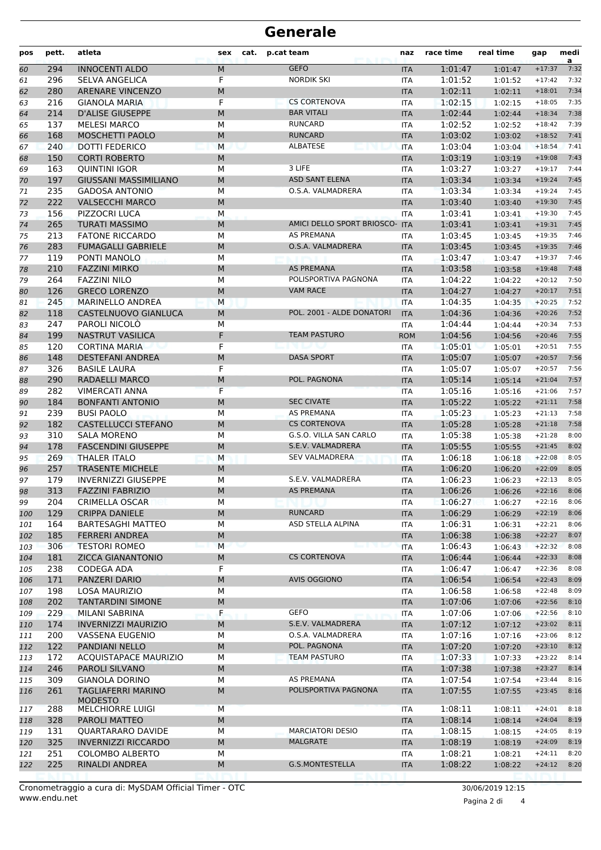## **Generale**

| <b>GEFO</b><br><b>INNOCENTI ALDO</b><br>M<br>294<br>1:01:47<br>60<br><b>ITA</b><br>1:01:47<br>F<br><b>NORDIK SKI</b><br>296<br>1:01:52<br>61<br><b>SELVA ANGELICA</b><br><b>ITA</b><br>1:01:52<br>1:02:11<br>280<br><b>ARENARE VINCENZO</b><br>M<br>62<br><b>ITA</b><br>1:02:11<br>F<br><b>CS CORTENOVA</b><br>216<br><b>GIANOLA MARIA</b><br><b>ITA</b><br>1:02:15<br>63<br>1:02:15<br><b>BAR VITALI</b><br>214<br><b>D'ALISE GIUSEPPE</b><br>1:02:44<br>M<br><b>ITA</b><br>64<br>1:02:44<br>M<br><b>RUNCARD</b><br>1:02:52<br>137<br><b>MELESI MARCO</b><br>ITA<br>1:02:52<br>65<br><b>RUNCARD</b><br>168<br>MOSCHETTI PAOLO<br>M<br>1:03:02<br><b>ITA</b><br>1:03:02<br>66<br>240<br><b>DOTTI FEDERICO</b><br>M<br>ALBATESE<br>1:03:04<br>67<br><b>ITA</b><br>1:03:04<br>150<br>M<br>1:03:19<br><b>CORTI ROBERTO</b><br><b>ITA</b><br>1:03:19<br>68<br>3 LIFE<br><b>QUINTINI IGOR</b><br>M<br>1:03:27<br>163<br><b>ITA</b><br>69<br>1:03:27<br>197<br><b>ASD SANT ELENA</b><br>1:03:34<br><b>GIUSSANI MASSIMILIANO</b><br>M<br><b>ITA</b><br>70<br>1:03:34<br>235<br>O.S.A. VALMADRERA<br>1:03:34<br><b>GADOSA ANTONIO</b><br>М<br>71<br>ITA<br>1:03:34<br>222<br><b>VALSECCHI MARCO</b><br>M<br><b>ITA</b><br>1:03:40<br>72<br>1:03:40<br>73<br>156<br>PIZZOCRI LUCA<br>M<br>1:03:41<br><b>ITA</b><br>1:03:41<br>M<br>AMICI DELLO SPORT BRIOSCO-<br>1:03:41<br>265<br><b>TURATI MASSIMO</b><br>74<br><b>ITA</b><br>1:03:41<br><b>AS PREMANA</b><br>75<br>213<br><b>FATONE RICCARDO</b><br>М<br><b>ITA</b><br>1:03:45<br>1:03:45<br>283<br>O.S.A. VALMADRERA<br><b>FUMAGALLI GABRIELE</b><br>M<br><b>ITA</b><br>1:03:45<br>76<br>1:03:45<br>119<br>PONTI MANOLO<br>М<br>1:03:47<br><b>ITA</b><br>77<br>1:03:47<br><b>AS PREMANA</b><br><b>FAZZINI MIRKO</b><br>M<br>1:03:58<br>210<br><b>ITA</b><br>78<br>1:03:58<br>264<br><b>FAZZINI NILO</b><br>M<br>POLISPORTIVA PAGNONA<br>1:04:22<br>79<br><b>ITA</b><br>1:04:22<br><b>GRECO LORENZO</b><br>M<br><b>VAM RACE</b><br>1:04:27<br>126<br><b>ITA</b><br>1:04:27<br>80<br><b>MARINELLO ANDREA</b><br>M<br>1:04:35<br>81<br>245<br><b>ITA</b><br>1:04:35<br>118<br>M<br>POL. 2001 - ALDE DONATORI<br>82<br>CASTELNUOVO GIANLUCA<br><b>ITA</b><br>1:04:36<br>1:04:36<br>247<br>PAROLI NICOLO<br>М<br>1:04:44<br>83<br>ITA<br>1:04:44 | $+17:37$ |           |
|----------------------------------------------------------------------------------------------------------------------------------------------------------------------------------------------------------------------------------------------------------------------------------------------------------------------------------------------------------------------------------------------------------------------------------------------------------------------------------------------------------------------------------------------------------------------------------------------------------------------------------------------------------------------------------------------------------------------------------------------------------------------------------------------------------------------------------------------------------------------------------------------------------------------------------------------------------------------------------------------------------------------------------------------------------------------------------------------------------------------------------------------------------------------------------------------------------------------------------------------------------------------------------------------------------------------------------------------------------------------------------------------------------------------------------------------------------------------------------------------------------------------------------------------------------------------------------------------------------------------------------------------------------------------------------------------------------------------------------------------------------------------------------------------------------------------------------------------------------------------------------------------------------------------------------------------------------------------------------------------------------------------------------------------------------------------------------------------------------------------------------------------------------------------------------------------------------------------------------------------------------------------------------------|----------|-----------|
|                                                                                                                                                                                                                                                                                                                                                                                                                                                                                                                                                                                                                                                                                                                                                                                                                                                                                                                                                                                                                                                                                                                                                                                                                                                                                                                                                                                                                                                                                                                                                                                                                                                                                                                                                                                                                                                                                                                                                                                                                                                                                                                                                                                                                                                                                        |          | a<br>7:32 |
|                                                                                                                                                                                                                                                                                                                                                                                                                                                                                                                                                                                                                                                                                                                                                                                                                                                                                                                                                                                                                                                                                                                                                                                                                                                                                                                                                                                                                                                                                                                                                                                                                                                                                                                                                                                                                                                                                                                                                                                                                                                                                                                                                                                                                                                                                        | $+17:42$ | 7:32      |
|                                                                                                                                                                                                                                                                                                                                                                                                                                                                                                                                                                                                                                                                                                                                                                                                                                                                                                                                                                                                                                                                                                                                                                                                                                                                                                                                                                                                                                                                                                                                                                                                                                                                                                                                                                                                                                                                                                                                                                                                                                                                                                                                                                                                                                                                                        | $+18:01$ | 7:34      |
|                                                                                                                                                                                                                                                                                                                                                                                                                                                                                                                                                                                                                                                                                                                                                                                                                                                                                                                                                                                                                                                                                                                                                                                                                                                                                                                                                                                                                                                                                                                                                                                                                                                                                                                                                                                                                                                                                                                                                                                                                                                                                                                                                                                                                                                                                        | $+18:05$ | 7:35      |
|                                                                                                                                                                                                                                                                                                                                                                                                                                                                                                                                                                                                                                                                                                                                                                                                                                                                                                                                                                                                                                                                                                                                                                                                                                                                                                                                                                                                                                                                                                                                                                                                                                                                                                                                                                                                                                                                                                                                                                                                                                                                                                                                                                                                                                                                                        | $+18:34$ | 7:38      |
|                                                                                                                                                                                                                                                                                                                                                                                                                                                                                                                                                                                                                                                                                                                                                                                                                                                                                                                                                                                                                                                                                                                                                                                                                                                                                                                                                                                                                                                                                                                                                                                                                                                                                                                                                                                                                                                                                                                                                                                                                                                                                                                                                                                                                                                                                        | $+18:42$ | 7:39      |
|                                                                                                                                                                                                                                                                                                                                                                                                                                                                                                                                                                                                                                                                                                                                                                                                                                                                                                                                                                                                                                                                                                                                                                                                                                                                                                                                                                                                                                                                                                                                                                                                                                                                                                                                                                                                                                                                                                                                                                                                                                                                                                                                                                                                                                                                                        | $+18:52$ | 7:41      |
|                                                                                                                                                                                                                                                                                                                                                                                                                                                                                                                                                                                                                                                                                                                                                                                                                                                                                                                                                                                                                                                                                                                                                                                                                                                                                                                                                                                                                                                                                                                                                                                                                                                                                                                                                                                                                                                                                                                                                                                                                                                                                                                                                                                                                                                                                        | $+18:54$ | 7:41      |
|                                                                                                                                                                                                                                                                                                                                                                                                                                                                                                                                                                                                                                                                                                                                                                                                                                                                                                                                                                                                                                                                                                                                                                                                                                                                                                                                                                                                                                                                                                                                                                                                                                                                                                                                                                                                                                                                                                                                                                                                                                                                                                                                                                                                                                                                                        | $+19:08$ | 7:43      |
|                                                                                                                                                                                                                                                                                                                                                                                                                                                                                                                                                                                                                                                                                                                                                                                                                                                                                                                                                                                                                                                                                                                                                                                                                                                                                                                                                                                                                                                                                                                                                                                                                                                                                                                                                                                                                                                                                                                                                                                                                                                                                                                                                                                                                                                                                        | $+19:17$ | 7:44      |
|                                                                                                                                                                                                                                                                                                                                                                                                                                                                                                                                                                                                                                                                                                                                                                                                                                                                                                                                                                                                                                                                                                                                                                                                                                                                                                                                                                                                                                                                                                                                                                                                                                                                                                                                                                                                                                                                                                                                                                                                                                                                                                                                                                                                                                                                                        | $+19:24$ | 7:45      |
|                                                                                                                                                                                                                                                                                                                                                                                                                                                                                                                                                                                                                                                                                                                                                                                                                                                                                                                                                                                                                                                                                                                                                                                                                                                                                                                                                                                                                                                                                                                                                                                                                                                                                                                                                                                                                                                                                                                                                                                                                                                                                                                                                                                                                                                                                        | $+19:24$ | 7:45      |
|                                                                                                                                                                                                                                                                                                                                                                                                                                                                                                                                                                                                                                                                                                                                                                                                                                                                                                                                                                                                                                                                                                                                                                                                                                                                                                                                                                                                                                                                                                                                                                                                                                                                                                                                                                                                                                                                                                                                                                                                                                                                                                                                                                                                                                                                                        | $+19:30$ | 7:45      |
|                                                                                                                                                                                                                                                                                                                                                                                                                                                                                                                                                                                                                                                                                                                                                                                                                                                                                                                                                                                                                                                                                                                                                                                                                                                                                                                                                                                                                                                                                                                                                                                                                                                                                                                                                                                                                                                                                                                                                                                                                                                                                                                                                                                                                                                                                        | $+19:30$ | 7:45      |
|                                                                                                                                                                                                                                                                                                                                                                                                                                                                                                                                                                                                                                                                                                                                                                                                                                                                                                                                                                                                                                                                                                                                                                                                                                                                                                                                                                                                                                                                                                                                                                                                                                                                                                                                                                                                                                                                                                                                                                                                                                                                                                                                                                                                                                                                                        | $+19:31$ | 7:45      |
|                                                                                                                                                                                                                                                                                                                                                                                                                                                                                                                                                                                                                                                                                                                                                                                                                                                                                                                                                                                                                                                                                                                                                                                                                                                                                                                                                                                                                                                                                                                                                                                                                                                                                                                                                                                                                                                                                                                                                                                                                                                                                                                                                                                                                                                                                        | $+19:35$ | 7:46      |
|                                                                                                                                                                                                                                                                                                                                                                                                                                                                                                                                                                                                                                                                                                                                                                                                                                                                                                                                                                                                                                                                                                                                                                                                                                                                                                                                                                                                                                                                                                                                                                                                                                                                                                                                                                                                                                                                                                                                                                                                                                                                                                                                                                                                                                                                                        | $+19:35$ | 7:46      |
|                                                                                                                                                                                                                                                                                                                                                                                                                                                                                                                                                                                                                                                                                                                                                                                                                                                                                                                                                                                                                                                                                                                                                                                                                                                                                                                                                                                                                                                                                                                                                                                                                                                                                                                                                                                                                                                                                                                                                                                                                                                                                                                                                                                                                                                                                        | $+19:37$ | 7:46      |
|                                                                                                                                                                                                                                                                                                                                                                                                                                                                                                                                                                                                                                                                                                                                                                                                                                                                                                                                                                                                                                                                                                                                                                                                                                                                                                                                                                                                                                                                                                                                                                                                                                                                                                                                                                                                                                                                                                                                                                                                                                                                                                                                                                                                                                                                                        | $+19:48$ | 7:48      |
|                                                                                                                                                                                                                                                                                                                                                                                                                                                                                                                                                                                                                                                                                                                                                                                                                                                                                                                                                                                                                                                                                                                                                                                                                                                                                                                                                                                                                                                                                                                                                                                                                                                                                                                                                                                                                                                                                                                                                                                                                                                                                                                                                                                                                                                                                        | $+20:12$ | 7:50      |
|                                                                                                                                                                                                                                                                                                                                                                                                                                                                                                                                                                                                                                                                                                                                                                                                                                                                                                                                                                                                                                                                                                                                                                                                                                                                                                                                                                                                                                                                                                                                                                                                                                                                                                                                                                                                                                                                                                                                                                                                                                                                                                                                                                                                                                                                                        | $+20:17$ | 7:51      |
|                                                                                                                                                                                                                                                                                                                                                                                                                                                                                                                                                                                                                                                                                                                                                                                                                                                                                                                                                                                                                                                                                                                                                                                                                                                                                                                                                                                                                                                                                                                                                                                                                                                                                                                                                                                                                                                                                                                                                                                                                                                                                                                                                                                                                                                                                        | $+20:25$ | 7:52      |
|                                                                                                                                                                                                                                                                                                                                                                                                                                                                                                                                                                                                                                                                                                                                                                                                                                                                                                                                                                                                                                                                                                                                                                                                                                                                                                                                                                                                                                                                                                                                                                                                                                                                                                                                                                                                                                                                                                                                                                                                                                                                                                                                                                                                                                                                                        | $+20:26$ | 7:52      |
|                                                                                                                                                                                                                                                                                                                                                                                                                                                                                                                                                                                                                                                                                                                                                                                                                                                                                                                                                                                                                                                                                                                                                                                                                                                                                                                                                                                                                                                                                                                                                                                                                                                                                                                                                                                                                                                                                                                                                                                                                                                                                                                                                                                                                                                                                        | $+20:34$ | 7:53      |
| F<br><b>NASTRUT VASILICA</b><br><b>TEAM PASTURO</b><br>199<br><b>ROM</b><br>1:04:56<br>1:04:56<br>84                                                                                                                                                                                                                                                                                                                                                                                                                                                                                                                                                                                                                                                                                                                                                                                                                                                                                                                                                                                                                                                                                                                                                                                                                                                                                                                                                                                                                                                                                                                                                                                                                                                                                                                                                                                                                                                                                                                                                                                                                                                                                                                                                                                   | $+20:46$ | 7:55      |
| F<br>120<br><b>CORTINA MARIA</b><br>1:05:01<br>85<br><b>ITA</b><br>1:05:01                                                                                                                                                                                                                                                                                                                                                                                                                                                                                                                                                                                                                                                                                                                                                                                                                                                                                                                                                                                                                                                                                                                                                                                                                                                                                                                                                                                                                                                                                                                                                                                                                                                                                                                                                                                                                                                                                                                                                                                                                                                                                                                                                                                                             | $+20:51$ | 7:55      |
| <b>DASA SPORT</b><br>148<br><b>DESTEFANI ANDREA</b><br>M<br>1:05:07<br>86<br><b>ITA</b><br>1:05:07                                                                                                                                                                                                                                                                                                                                                                                                                                                                                                                                                                                                                                                                                                                                                                                                                                                                                                                                                                                                                                                                                                                                                                                                                                                                                                                                                                                                                                                                                                                                                                                                                                                                                                                                                                                                                                                                                                                                                                                                                                                                                                                                                                                     | $+20:57$ | 7:56      |
| F<br>1:05:07<br>87<br>326<br><b>BASILE LAURA</b><br><b>ITA</b><br>1:05:07                                                                                                                                                                                                                                                                                                                                                                                                                                                                                                                                                                                                                                                                                                                                                                                                                                                                                                                                                                                                                                                                                                                                                                                                                                                                                                                                                                                                                                                                                                                                                                                                                                                                                                                                                                                                                                                                                                                                                                                                                                                                                                                                                                                                              | $+20:57$ | 7:56      |
| 290<br><b>RADAELLI MARCO</b><br>M<br>POL. PAGNONA<br><b>ITA</b><br>1:05:14<br>1:05:14<br>88                                                                                                                                                                                                                                                                                                                                                                                                                                                                                                                                                                                                                                                                                                                                                                                                                                                                                                                                                                                                                                                                                                                                                                                                                                                                                                                                                                                                                                                                                                                                                                                                                                                                                                                                                                                                                                                                                                                                                                                                                                                                                                                                                                                            | $+21:04$ | 7:57      |
| F<br>282<br>1:05:16<br><b>VIMERCATI ANNA</b><br><b>ITA</b><br>89<br>1:05:16                                                                                                                                                                                                                                                                                                                                                                                                                                                                                                                                                                                                                                                                                                                                                                                                                                                                                                                                                                                                                                                                                                                                                                                                                                                                                                                                                                                                                                                                                                                                                                                                                                                                                                                                                                                                                                                                                                                                                                                                                                                                                                                                                                                                            | $+21:06$ | 7:57      |
| <b>SEC CIVATE</b><br>184<br>M<br>1:05:22<br><b>BONFANTI ANTONIO</b><br><b>ITA</b><br>1:05:22<br>90                                                                                                                                                                                                                                                                                                                                                                                                                                                                                                                                                                                                                                                                                                                                                                                                                                                                                                                                                                                                                                                                                                                                                                                                                                                                                                                                                                                                                                                                                                                                                                                                                                                                                                                                                                                                                                                                                                                                                                                                                                                                                                                                                                                     | $+21:11$ | 7:58      |
| 239<br><b>BUSI PAOLO</b><br>M<br><b>AS PREMANA</b><br>1:05:23<br>91<br><b>ITA</b><br>1:05:23                                                                                                                                                                                                                                                                                                                                                                                                                                                                                                                                                                                                                                                                                                                                                                                                                                                                                                                                                                                                                                                                                                                                                                                                                                                                                                                                                                                                                                                                                                                                                                                                                                                                                                                                                                                                                                                                                                                                                                                                                                                                                                                                                                                           | $+21:13$ | 7:58      |
| 182<br><b>CASTELLUCCI STEFANO</b><br>M<br><b>CS CORTENOVA</b><br>1:05:28<br>1:05:28<br>92<br><b>ITA</b>                                                                                                                                                                                                                                                                                                                                                                                                                                                                                                                                                                                                                                                                                                                                                                                                                                                                                                                                                                                                                                                                                                                                                                                                                                                                                                                                                                                                                                                                                                                                                                                                                                                                                                                                                                                                                                                                                                                                                                                                                                                                                                                                                                                | $+21:18$ | 7:58      |
| G.S.O. VILLA SAN CARLO<br>M<br>1:05:38<br>93<br>310<br><b>SALA MORENO</b><br><b>ITA</b><br>1:05:38                                                                                                                                                                                                                                                                                                                                                                                                                                                                                                                                                                                                                                                                                                                                                                                                                                                                                                                                                                                                                                                                                                                                                                                                                                                                                                                                                                                                                                                                                                                                                                                                                                                                                                                                                                                                                                                                                                                                                                                                                                                                                                                                                                                     | $+21:28$ | 8:00      |
| 178<br><b>FASCENDINI GIUSEPPE</b><br>M<br>S.E.V. VALMADRERA<br><b>ITA</b><br>1:05:55<br>1:05:55<br>94                                                                                                                                                                                                                                                                                                                                                                                                                                                                                                                                                                                                                                                                                                                                                                                                                                                                                                                                                                                                                                                                                                                                                                                                                                                                                                                                                                                                                                                                                                                                                                                                                                                                                                                                                                                                                                                                                                                                                                                                                                                                                                                                                                                  | $+21:45$ | 8:02      |
| <b>SEV VALMADRERA</b><br>269<br><b>THALER ITALO</b><br>M<br><b>ITA</b><br>1:06:18<br>95<br>1:06:18                                                                                                                                                                                                                                                                                                                                                                                                                                                                                                                                                                                                                                                                                                                                                                                                                                                                                                                                                                                                                                                                                                                                                                                                                                                                                                                                                                                                                                                                                                                                                                                                                                                                                                                                                                                                                                                                                                                                                                                                                                                                                                                                                                                     | $+22:08$ | 8:05      |
| 257<br><b>TRASENTE MICHELE</b><br>M<br>1:06:20<br><b>ITA</b><br>1:06:20<br>96                                                                                                                                                                                                                                                                                                                                                                                                                                                                                                                                                                                                                                                                                                                                                                                                                                                                                                                                                                                                                                                                                                                                                                                                                                                                                                                                                                                                                                                                                                                                                                                                                                                                                                                                                                                                                                                                                                                                                                                                                                                                                                                                                                                                          | $+22:09$ | 8:05      |
| 179<br><b>INVERNIZZI GIUSEPPE</b><br>S.E.V. VALMADRERA<br>М<br><b>ITA</b><br>1:06:23<br>97<br>1:06:23                                                                                                                                                                                                                                                                                                                                                                                                                                                                                                                                                                                                                                                                                                                                                                                                                                                                                                                                                                                                                                                                                                                                                                                                                                                                                                                                                                                                                                                                                                                                                                                                                                                                                                                                                                                                                                                                                                                                                                                                                                                                                                                                                                                  | $+22:13$ | 8:05      |
| <b>AS PREMANA</b><br>313<br><b>FAZZINI FABRIZIO</b><br>M<br>1:06:26<br>98<br><b>ITA</b><br>1:06:26                                                                                                                                                                                                                                                                                                                                                                                                                                                                                                                                                                                                                                                                                                                                                                                                                                                                                                                                                                                                                                                                                                                                                                                                                                                                                                                                                                                                                                                                                                                                                                                                                                                                                                                                                                                                                                                                                                                                                                                                                                                                                                                                                                                     | $+22:16$ | 8:06      |
| 1:06:27<br>204<br><b>CRIMELLA OSCAR</b><br>М<br>1:06:27<br>99<br>ITA                                                                                                                                                                                                                                                                                                                                                                                                                                                                                                                                                                                                                                                                                                                                                                                                                                                                                                                                                                                                                                                                                                                                                                                                                                                                                                                                                                                                                                                                                                                                                                                                                                                                                                                                                                                                                                                                                                                                                                                                                                                                                                                                                                                                                   | $+22:16$ | 8:06      |
| M<br><b>RUNCARD</b><br>129<br><b>CRIPPA DANIELE</b><br><b>ITA</b><br>1:06:29<br>100<br>1:06:29                                                                                                                                                                                                                                                                                                                                                                                                                                                                                                                                                                                                                                                                                                                                                                                                                                                                                                                                                                                                                                                                                                                                                                                                                                                                                                                                                                                                                                                                                                                                                                                                                                                                                                                                                                                                                                                                                                                                                                                                                                                                                                                                                                                         | $+22:19$ | 8:06      |
| ASD STELLA ALPINA<br>164<br><b>BARTESAGHI MATTEO</b><br>М<br>1:06:31<br>ITA<br>1:06:31<br>101                                                                                                                                                                                                                                                                                                                                                                                                                                                                                                                                                                                                                                                                                                                                                                                                                                                                                                                                                                                                                                                                                                                                                                                                                                                                                                                                                                                                                                                                                                                                                                                                                                                                                                                                                                                                                                                                                                                                                                                                                                                                                                                                                                                          | $+22:21$ | 8:06      |
| М<br>185<br><b>FERRERI ANDREA</b><br><b>ITA</b><br>1:06:38<br>102<br>1:06:38                                                                                                                                                                                                                                                                                                                                                                                                                                                                                                                                                                                                                                                                                                                                                                                                                                                                                                                                                                                                                                                                                                                                                                                                                                                                                                                                                                                                                                                                                                                                                                                                                                                                                                                                                                                                                                                                                                                                                                                                                                                                                                                                                                                                           | $+22:27$ | 8:07      |
| 306<br><b>TESTORI ROMEO</b><br>M<br>1:06:43<br>103<br><b>ITA</b><br>1:06:43                                                                                                                                                                                                                                                                                                                                                                                                                                                                                                                                                                                                                                                                                                                                                                                                                                                                                                                                                                                                                                                                                                                                                                                                                                                                                                                                                                                                                                                                                                                                                                                                                                                                                                                                                                                                                                                                                                                                                                                                                                                                                                                                                                                                            | $+22:32$ | 8:08      |
| <b>CS CORTENOVA</b><br>181<br><b>ZICCA GIANANTONIO</b><br>M<br>1:06:44<br>104<br><b>ITA</b><br>1:06:44                                                                                                                                                                                                                                                                                                                                                                                                                                                                                                                                                                                                                                                                                                                                                                                                                                                                                                                                                                                                                                                                                                                                                                                                                                                                                                                                                                                                                                                                                                                                                                                                                                                                                                                                                                                                                                                                                                                                                                                                                                                                                                                                                                                 | $+22:33$ | 8:08      |
| F<br>238<br>CODEGA ADA<br>1:06:47<br>105<br>ITA<br>1:06:47                                                                                                                                                                                                                                                                                                                                                                                                                                                                                                                                                                                                                                                                                                                                                                                                                                                                                                                                                                                                                                                                                                                                                                                                                                                                                                                                                                                                                                                                                                                                                                                                                                                                                                                                                                                                                                                                                                                                                                                                                                                                                                                                                                                                                             | $+22:36$ | 8:08      |
| 171<br>PANZERI DARIO<br>M<br>AVIS OGGIONO<br><b>ITA</b><br>1:06:54<br>106<br>1:06:54                                                                                                                                                                                                                                                                                                                                                                                                                                                                                                                                                                                                                                                                                                                                                                                                                                                                                                                                                                                                                                                                                                                                                                                                                                                                                                                                                                                                                                                                                                                                                                                                                                                                                                                                                                                                                                                                                                                                                                                                                                                                                                                                                                                                   | $+22:43$ | 8:09      |
| 198<br>LOSA MAURIZIO<br>М<br>1:06:58<br>107<br>ITA<br>1:06:58                                                                                                                                                                                                                                                                                                                                                                                                                                                                                                                                                                                                                                                                                                                                                                                                                                                                                                                                                                                                                                                                                                                                                                                                                                                                                                                                                                                                                                                                                                                                                                                                                                                                                                                                                                                                                                                                                                                                                                                                                                                                                                                                                                                                                          | $+22:48$ | 8:09      |
| 202<br>М<br><b>TANTARDINI SIMONE</b><br><b>ITA</b><br>1:07:06<br>108<br>1:07:06                                                                                                                                                                                                                                                                                                                                                                                                                                                                                                                                                                                                                                                                                                                                                                                                                                                                                                                                                                                                                                                                                                                                                                                                                                                                                                                                                                                                                                                                                                                                                                                                                                                                                                                                                                                                                                                                                                                                                                                                                                                                                                                                                                                                        | $+22:56$ | 8:10      |
| F<br>GEFO<br>229<br>MILANI SABRINA<br><b>ITA</b><br>1:07:06<br>109<br>1:07:06                                                                                                                                                                                                                                                                                                                                                                                                                                                                                                                                                                                                                                                                                                                                                                                                                                                                                                                                                                                                                                                                                                                                                                                                                                                                                                                                                                                                                                                                                                                                                                                                                                                                                                                                                                                                                                                                                                                                                                                                                                                                                                                                                                                                          | $+22:56$ | 8:10      |
| S.E.V. VALMADRERA<br>174<br>M<br>1:07:12<br><b>INVERNIZZI MAURIZIO</b><br>110<br><b>ITA</b><br>1:07:12                                                                                                                                                                                                                                                                                                                                                                                                                                                                                                                                                                                                                                                                                                                                                                                                                                                                                                                                                                                                                                                                                                                                                                                                                                                                                                                                                                                                                                                                                                                                                                                                                                                                                                                                                                                                                                                                                                                                                                                                                                                                                                                                                                                 | $+23:02$ | 8:11      |
| O.S.A. VALMADRERA<br>200<br>VASSENA EUGENIO<br>М<br>1:07:16<br>111<br>ITA<br>1:07:16                                                                                                                                                                                                                                                                                                                                                                                                                                                                                                                                                                                                                                                                                                                                                                                                                                                                                                                                                                                                                                                                                                                                                                                                                                                                                                                                                                                                                                                                                                                                                                                                                                                                                                                                                                                                                                                                                                                                                                                                                                                                                                                                                                                                   | $+23:06$ | 8:12      |
| 122<br>PANDIANI NELLO<br>M<br>POL. PAGNONA<br>1:07:20<br><b>ITA</b><br>1:07:20<br>112                                                                                                                                                                                                                                                                                                                                                                                                                                                                                                                                                                                                                                                                                                                                                                                                                                                                                                                                                                                                                                                                                                                                                                                                                                                                                                                                                                                                                                                                                                                                                                                                                                                                                                                                                                                                                                                                                                                                                                                                                                                                                                                                                                                                  | $+23:10$ | 8:12      |
| <b>TEAM PASTURO</b><br>172<br><b>ACQUISTAPACE MAURIZIO</b><br>М<br>1:07:33<br>113<br>ITA<br>1:07:33                                                                                                                                                                                                                                                                                                                                                                                                                                                                                                                                                                                                                                                                                                                                                                                                                                                                                                                                                                                                                                                                                                                                                                                                                                                                                                                                                                                                                                                                                                                                                                                                                                                                                                                                                                                                                                                                                                                                                                                                                                                                                                                                                                                    | $+23:22$ | 8:14      |
| М<br>246<br>PAROLI SILVANO<br><b>ITA</b><br>1:07:38<br>114<br>1:07:38                                                                                                                                                                                                                                                                                                                                                                                                                                                                                                                                                                                                                                                                                                                                                                                                                                                                                                                                                                                                                                                                                                                                                                                                                                                                                                                                                                                                                                                                                                                                                                                                                                                                                                                                                                                                                                                                                                                                                                                                                                                                                                                                                                                                                  | $+23:27$ | 8:14      |
| 309<br><b>GIANOLA DORINO</b><br>AS PREMANA<br>М<br>1:07:54<br>115<br>ITA<br>1:07:54                                                                                                                                                                                                                                                                                                                                                                                                                                                                                                                                                                                                                                                                                                                                                                                                                                                                                                                                                                                                                                                                                                                                                                                                                                                                                                                                                                                                                                                                                                                                                                                                                                                                                                                                                                                                                                                                                                                                                                                                                                                                                                                                                                                                    | $+23:44$ | 8:16      |
| POLISPORTIVA PAGNONA<br>M<br>261<br>TAGLIAFERRI MARINO<br>1:07:55<br>116<br><b>ITA</b><br>1:07:55<br><b>MODESTO</b>                                                                                                                                                                                                                                                                                                                                                                                                                                                                                                                                                                                                                                                                                                                                                                                                                                                                                                                                                                                                                                                                                                                                                                                                                                                                                                                                                                                                                                                                                                                                                                                                                                                                                                                                                                                                                                                                                                                                                                                                                                                                                                                                                                    | $+23:45$ | 8:16      |
| 1:08:11<br>288<br><b>MELCHIORRE LUIGI</b><br>M<br>ITA<br>1:08:11<br>117                                                                                                                                                                                                                                                                                                                                                                                                                                                                                                                                                                                                                                                                                                                                                                                                                                                                                                                                                                                                                                                                                                                                                                                                                                                                                                                                                                                                                                                                                                                                                                                                                                                                                                                                                                                                                                                                                                                                                                                                                                                                                                                                                                                                                | $+24:01$ | 8:18      |
| М<br>328<br>PAROLI MATTEO<br><b>ITA</b><br>1:08:14<br>118<br>1:08:14                                                                                                                                                                                                                                                                                                                                                                                                                                                                                                                                                                                                                                                                                                                                                                                                                                                                                                                                                                                                                                                                                                                                                                                                                                                                                                                                                                                                                                                                                                                                                                                                                                                                                                                                                                                                                                                                                                                                                                                                                                                                                                                                                                                                                   | $+24:04$ | 8:19      |
| <b>MARCIATORI DESIO</b><br>131<br>QUARTARARO DAVIDE<br>М<br>1:08:15<br>119<br>ITA<br>1:08:15                                                                                                                                                                                                                                                                                                                                                                                                                                                                                                                                                                                                                                                                                                                                                                                                                                                                                                                                                                                                                                                                                                                                                                                                                                                                                                                                                                                                                                                                                                                                                                                                                                                                                                                                                                                                                                                                                                                                                                                                                                                                                                                                                                                           | $+24:05$ | 8:19      |
| MALGRATE<br>325<br>M<br><b>INVERNIZZI RICCARDO</b><br>1:08:19<br>120<br><b>ITA</b><br>1:08:19                                                                                                                                                                                                                                                                                                                                                                                                                                                                                                                                                                                                                                                                                                                                                                                                                                                                                                                                                                                                                                                                                                                                                                                                                                                                                                                                                                                                                                                                                                                                                                                                                                                                                                                                                                                                                                                                                                                                                                                                                                                                                                                                                                                          | $+24:09$ | 8:19      |
| 251<br>M<br><b>COLOMBO ALBERTO</b><br>1:08:21<br>121<br>ITA<br>1:08:21                                                                                                                                                                                                                                                                                                                                                                                                                                                                                                                                                                                                                                                                                                                                                                                                                                                                                                                                                                                                                                                                                                                                                                                                                                                                                                                                                                                                                                                                                                                                                                                                                                                                                                                                                                                                                                                                                                                                                                                                                                                                                                                                                                                                                 | $+24:11$ | 8:20      |
| 225<br>RINALDI ANDREA<br>М<br>G.S.MONTESTELLA<br>1:08:22<br><b>ITA</b><br>1:08:22<br>122                                                                                                                                                                                                                                                                                                                                                                                                                                                                                                                                                                                                                                                                                                                                                                                                                                                                                                                                                                                                                                                                                                                                                                                                                                                                                                                                                                                                                                                                                                                                                                                                                                                                                                                                                                                                                                                                                                                                                                                                                                                                                                                                                                                               | $+24:12$ | 8:20      |

www.endu.net Cronometraggio a cura di: MySDAM Official Timer - OTC 30/06/2019 12:15

Pagina 2 di 4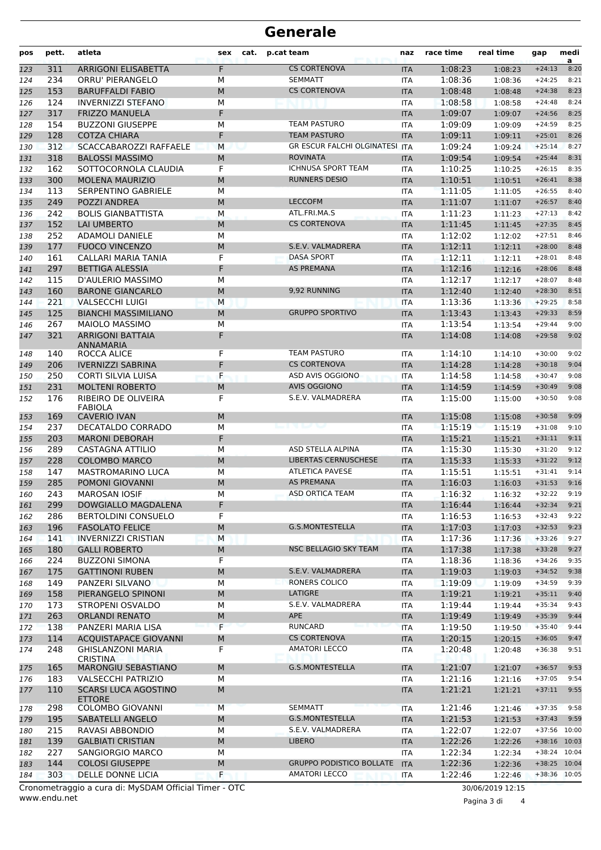## **Generale**

| pos        | pett.      | atleta                                                | sex    | cat. | p.cat team                                        | naz                      | race time          | real time          | gap                  | medi<br>a    |
|------------|------------|-------------------------------------------------------|--------|------|---------------------------------------------------|--------------------------|--------------------|--------------------|----------------------|--------------|
| 123        | 311        | <b>ARRIGONI ELISABETTA</b>                            | F      |      | <b>CS CORTENOVA</b>                               | <b>ITA</b>               | 1:08:23            | 1:08:23            | $+24:13$             | 8:20         |
| 124        | 234        | ORRU' PIERANGELO                                      | М      |      | <b>SEMMATT</b>                                    | <b>ITA</b>               | 1:08:36            | 1:08:36            | $+24:25$             | 8:21         |
| 125        | 153        | <b>BARUFFALDI FABIO</b>                               | M      |      | <b>CS CORTENOVA</b>                               | <b>ITA</b>               | 1:08:48            | 1:08:48            | $+24:38$             | 8:23         |
| 126        | 124        | <b>INVERNIZZI STEFANO</b>                             | М      |      |                                                   | <b>ITA</b>               | 1:08:58            | 1:08:58            | $+24:48$             | 8:24         |
| 127        | 317        | <b>FRIZZO MANUELA</b>                                 | F      |      |                                                   | <b>ITA</b>               | 1:09:07            | 1:09:07            | $+24:56$             | 8:25         |
| 128        | 154        | <b>BUZZONI GIUSEPPE</b>                               | М      |      | <b>TEAM PASTURO</b>                               | <b>ITA</b>               | 1:09:09            | 1:09:09            | $+24:59$             | 8:25         |
| 129        | 128        | <b>COTZA CHIARA</b>                                   | F      |      | <b>TEAM PASTURO</b>                               | <b>ITA</b>               | 1:09:11            | 1:09:11            | $+25:01$             | 8:26         |
| 130        | 312        | <b>SCACCABAROZZI RAFFAELE</b>                         | M      |      | <b>GR ESCUR FALCHI OLGINATESI ITA</b>             |                          | 1:09:24            | 1:09:24            | $+25:14$             | 8:27         |
| 131        | 318        | <b>BALOSSI MASSIMO</b>                                | M      |      | <b>ROVINATA</b>                                   | <b>ITA</b>               | 1:09:54            | 1:09:54            | $+25:44$             | 8:31         |
| 132        | 162        | SOTTOCORNOLA CLAUDIA                                  | F      |      | <b>ICHNUSA SPORT TEAM</b><br><b>RUNNERS DESIO</b> | <b>ITA</b>               | 1:10:25            | 1:10:25            | $+26:15$             | 8:35         |
| 133        | 300        | <b>MOLENA MAURIZIO</b><br><b>SERPENTINO GABRIELE</b>  | M      |      |                                                   | <b>ITA</b>               | 1:10:51            | 1:10:51            | $+26:41$             | 8:38<br>8:40 |
| 134        | 113        |                                                       | M      |      | <b>LECCOFM</b>                                    | <b>ITA</b>               | 1:11:05            | 1:11:05            | $+26:55$<br>$+26:57$ | 8:40         |
| 135        | 249<br>242 | POZZI ANDREA<br><b>BOLIS GIANBATTISTA</b>             | M<br>M |      | ATL.FRI.MA.S                                      | <b>ITA</b><br><b>ITA</b> | 1:11:07<br>1:11:23 | 1:11:07            | $+27:13$             | 8:42         |
| 136        | 152        | <b>LAI UMBERTO</b>                                    | M      |      | <b>CS CORTENOVA</b>                               | <b>ITA</b>               | 1:11:45            | 1:11:23<br>1:11:45 | $+27:35$             | 8:45         |
| 137<br>138 | 252        | <b>ADAMOLI DANIELE</b>                                | М      |      |                                                   | <b>ITA</b>               | 1:12:02            | 1:12:02            | $+27:51$             | 8:46         |
| 139        | 177        | <b>FUOCO VINCENZO</b>                                 | M      |      | S.E.V. VALMADRERA                                 | <b>ITA</b>               | 1:12:11            | 1:12:11            | $+28:00$             | 8:48         |
| 140        | 161        | CALLARI MARIA TANIA                                   | F      |      | <b>DASA SPORT</b>                                 | <b>ITA</b>               | 1:12:11            | 1:12:11            | $+28:01$             | 8:48         |
| 141        | 297        | <b>BETTIGA ALESSIA</b>                                | F      |      | <b>AS PREMANA</b>                                 | <b>ITA</b>               | 1:12:16            | 1:12:16            | $+28:06$             | 8:48         |
| 142        | 115        | D'AULERIO MASSIMO                                     | М      |      |                                                   | <b>ITA</b>               | 1:12:17            | 1:12:17            | $+28:07$             | 8:48         |
| 143        | 160        | <b>BARONE GIANCARLO</b>                               | M      |      | 9,92 RUNNING                                      | <b>ITA</b>               | 1:12:40            | 1:12:40            | $+28:30$             | 8:51         |
| 144        | 221        | <b>VALSECCHI LUIGI</b>                                | M      |      |                                                   | <b>ITA</b>               | 1:13:36            | 1:13:36            | $+29:25$             | 8:58         |
| 145        | 125        | <b>BIANCHI MASSIMILIANO</b>                           | M      |      | <b>GRUPPO SPORTIVO</b>                            | <b>ITA</b>               | 1:13:43            | 1:13:43            | $+29:33$             | 8:59         |
| 146        | 267        | <b>MAIOLO MASSIMO</b>                                 | M      |      |                                                   | <b>ITA</b>               | 1:13:54            | 1:13:54            | $+29:44$             | 9:00         |
| 147        | 321        | <b>ARRIGONI BATTAIA</b>                               | F      |      |                                                   | <b>ITA</b>               | 1:14:08            | 1:14:08            | $+29:58$             | 9:02         |
| 148        | 140        | <b>ANNAMARIA</b><br>ROCCA ALICE                       | F      |      | <b>TEAM PASTURO</b>                               | <b>ITA</b>               | 1:14:10            | 1:14:10            | $+30:00$             | 9:02         |
| 149        | 206        | <b>IVERNIZZI SABRINA</b>                              | F      |      | <b>CS CORTENOVA</b>                               | <b>ITA</b>               | 1:14:28            | 1:14:28            | $+30:18$             | 9:04         |
| 150        | 250        | CORTI SILVIA LUISA                                    | F      |      | ASD AVIS OGGIONO                                  | <b>ITA</b>               | 1:14:58            | 1:14:58            | $+30:47$             | 9:08         |
| 151        | 231        | <b>MOLTENI ROBERTO</b>                                | M      |      | <b>AVIS OGGIONO</b>                               | <b>ITA</b>               | 1:14:59            | 1:14:59            | $+30:49$             | 9:08         |
| 152        | 176        | RIBEIRO DE OLIVEIRA                                   | F      |      | S.E.V. VALMADRERA                                 | <b>ITA</b>               | 1:15:00            | 1:15:00            | $+30:50$             | 9:08         |
| 153        | 169        | <b>FABIOLA</b><br><b>CAVERIO IVAN</b>                 | M      |      |                                                   | <b>ITA</b>               | 1:15:08            | 1:15:08            | $+30:58$             | 9:09         |
| 154        | 237        | DECATALDO CORRADO                                     | M      |      |                                                   | <b>ITA</b>               | 1:15:19            | 1:15:19            | $+31:08$             | 9:10         |
| 155        | 203        | <b>MARONI DEBORAH</b>                                 | F      |      |                                                   | <b>ITA</b>               | 1:15:21            | 1:15:21            | $+31:11$             | 9:11         |
| 156        | 289        | CASTAGNA ATTILIO                                      | M      |      | <b>ASD STELLA ALPINA</b>                          | <b>ITA</b>               | 1:15:30            | 1:15:30            | $+31:20$             | 9:12         |
| 157        | 228        | <b>COLOMBO MARCO</b>                                  | M      |      | <b>LIBERTAS CERNUSCHESE</b>                       | <b>ITA</b>               | 1:15:33            | 1:15:33            | $+31:22$             | 9:12         |
| 158        | 147        | <b>MASTROMARINO LUCA</b>                              | M      |      | <b>ATLETICA PAVESE</b>                            | <b>ITA</b>               | 1:15:51            | 1:15:51            | $+31:41$             | 9:14         |
| 159        | 285        | POMONI GIOVANNI                                       | M      |      | <b>AS PREMANA</b>                                 | <b>ITA</b>               | 1:16:03            | 1:16:03            | $+31:53$             | 9:16         |
| 160        | 243        | <b>MAROSAN IOSIF</b>                                  | М      |      | ASD ORTICA TEAM                                   | ITA                      | 1:16:32            | 1:16:32            | $+32:22$             | 9:19         |
| 161        | 299        | DOWGIALLO MAGDALENA                                   | F      |      |                                                   | <b>ITA</b>               | 1:16:44            | 1:16:44            | $+32:34$             | 9:21         |
| 162        | 286        | <b>BERTOLDINI CONSUELO</b>                            | F      |      |                                                   | <b>ITA</b>               | 1:16:53            | 1:16:53            | $+32:43$             | 9:22         |
| 163        | 196        | <b>FASOLATO FELICE</b>                                | M      |      | <b>G.S.MONTESTELLA</b>                            | <b>ITA</b>               | 1:17:03            | 1:17:03            | $+32:53$             | 9:23         |
| 164        | 141        | <b>INVERNIZZI CRISTIAN</b>                            | M      |      |                                                   | ITA                      | 1:17:36            | 1:17:36            | $+33:26$             | 9:27         |
| 165        | 180        | <b>GALLI ROBERTO</b>                                  | M      |      | NSC BELLAGIO SKY TEAM                             | <b>ITA</b>               | 1:17:38            | 1:17:38            | $+33:28$             | 9:27         |
| 166        | 224        | <b>BUZZONI SIMONA</b>                                 | F      |      |                                                   | ITA                      | 1:18:36            | 1:18:36            | $+34:26$             | 9:35         |
| 167        | 175        | <b>GATTINONI RUBEN</b>                                | M      |      | S.E.V. VALMADRERA                                 | <b>ITA</b>               | 1:19:03            | 1:19:03            | $+34:52$             | 9:38         |
| 168        | 149        | PANZERI SILVANO                                       | М      |      | RONERS COLICO                                     | ITA                      | 1:19:09            | 1:19:09            | $+34:59$             | 9:39         |
| 169        | 158        | PIERANGELO SPINONI                                    | M      |      | LATIGRE                                           | <b>ITA</b>               | 1:19:21            | 1:19:21            | $+35:11$             | 9:40         |
| 170        | 173        | STROPENI OSVALDO                                      | М      |      | S.E.V. VALMADRERA                                 | ITA                      | 1:19:44            | 1:19:44            | $+35:34$             | 9:43         |
| 171        | 263        | <b>ORLANDI RENATO</b>                                 | M      |      | <b>APE</b>                                        | <b>ITA</b>               | 1:19:49            | 1:19:49            | $+35:39$             | 9:44         |
| 172        | 138        | PANZERI MARIA LISA                                    | F      |      | <b>RUNCARD</b>                                    | <b>ITA</b>               | 1:19:50            | 1:19:50            | $+35:40$             | 9:44         |
| 173        | 114        | <b>ACQUISTAPACE GIOVANNI</b>                          | M      |      | <b>CS CORTENOVA</b>                               | <b>ITA</b>               | 1:20:15            | 1:20:15            | $+36:05$             | 9:47         |
| 174        | 248        | <b>GHISLANZONI MARIA</b><br><b>CRISTINA</b>           | F      |      | <b>AMATORI LECCO</b>                              | ITA                      | 1:20:48            | 1:20:48            | $+36:38$             | 9:51         |
| 175        | 165        | MARONGIU SEBASTIANO                                   | M      |      | G.S.MONTESTELLA                                   | <b>ITA</b>               | 1:21:07            | 1:21:07            | $+36:57$             | 9:53         |
| 176        | 183        | <b>VALSECCHI PATRIZIO</b>                             | М      |      |                                                   | <b>ITA</b>               | 1:21:16            | 1:21:16            | $+37:05$             | 9:54         |
| 177        | 110        | <b>SCARSI LUCA AGOSTINO</b><br><b>ETTORE</b>          | M      |      |                                                   | <b>ITA</b>               | 1:21:21            | 1:21:21            | $+37:11$             | 9:55         |
| 178        | 298        | <b>COLOMBO GIOVANNI</b>                               | M      |      | <b>SEMMATT</b>                                    | <b>ITA</b>               | 1:21:46            | 1:21:46            | $+37:35$             | 9:58         |
| 179        | 195        | SABATELLI ANGELO                                      | M      |      | <b>G.S.MONTESTELLA</b>                            | <b>ITA</b>               | 1:21:53            | 1:21:53            | $+37:43$             | 9:59         |
| 180        | 215        | RAVASI ABBONDIO                                       | М      |      | S.E.V. VALMADRERA                                 | ITA                      | 1:22:07            | 1:22:07            | +37:56 10:00         |              |
| 181        | 139        | <b>GALBIATI CRISTIAN</b>                              | M      |      | <b>LIBERO</b>                                     | <b>ITA</b>               | 1:22:26            | 1:22:26            | +38:16 10:03         |              |
| 182        | 227        | SANGIORGIO MARCO                                      | М      |      |                                                   | ITA                      | 1:22:34            | 1:22:34            | +38:24 10:04         |              |
| 183        | 144        | <b>COLOSI GIUSEPPE</b>                                | M      |      | <b>GRUPPO PODISTICO BOLLATE</b>                   | <b>ITA</b>               | 1:22:36            | 1:22:36            | +38:25 10:04         |              |
| 184        | 303        | DELLE DONNE LICIA                                     | F      |      | <b>AMATORI LECCO</b>                              | ITA                      | 1:22:46            | 1:22:46            | +38:36 10:05         |              |
|            |            | Cronometraggio a cura di: MySDAM Official Timer - OTC |        |      |                                                   |                          |                    | 30/06/2019 12:15   |                      |              |

www.endu.net

Pagina 3 di 4